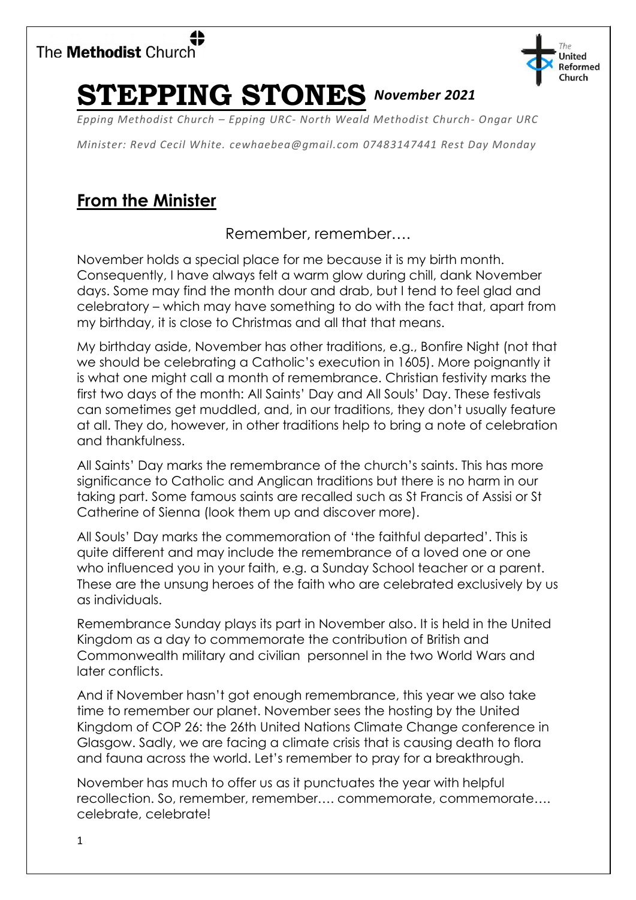



# **STEPPING STONES** *November 2021*

*Epping Methodist Church – Epping URC- North Weald Methodist Church- Ongar URC*

*Minister: Revd Cecil White. [cewhaebea@gmail.com](mailto:cewhaebea@gmail.com) 07483147441 Rest Day Monday*

# **From the Minister**

Remember, remember….

November holds a special place for me because it is my birth month. Consequently, I have always felt a warm glow during chill, dank November days. Some may find the month dour and drab, but I tend to feel glad and celebratory – which may have something to do with the fact that, apart from my birthday, it is close to Christmas and all that that means.

My birthday aside, November has other traditions, e.g., Bonfire Night (not that we should be celebrating a Catholic's execution in 1605). More poignantly it is what one might call a month of remembrance. Christian festivity marks the first two days of the month: All Saints' Day and All Souls' Day. These festivals can sometimes get muddled, and, in our traditions, they don't usually feature at all. They do, however, in other traditions help to bring a note of celebration and thankfulness.

All Saints' Day marks the remembrance of the church's saints. This has more significance to Catholic and Anglican traditions but there is no harm in our taking part. Some famous saints are recalled such as St Francis of Assisi or St Catherine of Sienna (look them up and discover more).

All Souls' Day marks the commemoration of 'the faithful departed'. This is quite different and may include the remembrance of a loved one or one who influenced you in your faith, e.g. a Sunday School teacher or a parent. These are the unsung heroes of the faith who are celebrated exclusively by us as individuals.

Remembrance Sunday plays its part in November also. It is held in the United Kingdom as a day to commemorate the contribution of British and Commonwealth military and civilian personnel in the two World Wars and later conflicts.

And if November hasn't got enough remembrance, this year we also take time to remember our planet. November sees the hosting by the United Kingdom of COP 26: the 26th United Nations Climate Change conference in Glasgow. Sadly, we are facing a climate crisis that is causing death to flora and fauna across the world. Let's remember to pray for a breakthrough.

November has much to offer us as it punctuates the year with helpful recollection. So, remember, remember…. commemorate, commemorate…. celebrate, celebrate!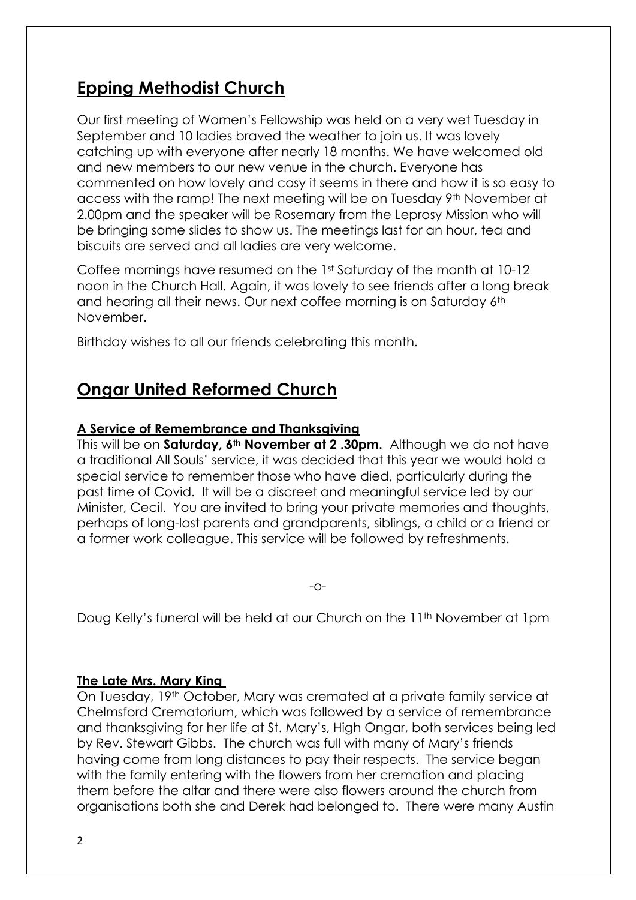# **Epping Methodist Church**

Our first meeting of Women's Fellowship was held on a very wet Tuesday in September and 10 ladies braved the weather to join us. It was lovely catching up with everyone after nearly 18 months. We have welcomed old and new members to our new venue in the church. Everyone has commented on how lovely and cosy it seems in there and how it is so easy to access with the ramp! The next meeting will be on Tuesday 9<sup>th</sup> November at 2.00pm and the speaker will be Rosemary from the Leprosy Mission who will be bringing some slides to show us. The meetings last for an hour, tea and biscuits are served and all ladies are very welcome.

Coffee mornings have resumed on the 1st Saturday of the month at 10-12 noon in the Church Hall. Again, it was lovely to see friends after a long break and hearing all their news. Our next coffee morning is on Saturday 6th November.

Birthday wishes to all our friends celebrating this month.

# **Ongar United Reformed Church**

# **A Service of Remembrance and Thanksgiving**

This will be on **Saturday, 6th November at 2 .30pm.** Although we do not have a traditional All Souls' service, it was decided that this year we would hold a special service to remember those who have died, particularly during the past time of Covid. It will be a discreet and meaningful service led by our Minister, Cecil. You are invited to bring your private memories and thoughts, perhaps of long-lost parents and grandparents, siblings, a child or a friend or a former work colleague. This service will be followed by refreshments.

-o-

Doug Kelly's funeral will be held at our Church on the 11<sup>th</sup> November at 1pm

# **The Late Mrs. Mary King**

On Tuesday, 19th October, Mary was cremated at a private family service at Chelmsford Crematorium, which was followed by a service of remembrance and thanksgiving for her life at St. Mary's, High Ongar, both services being led by Rev. Stewart Gibbs. The church was full with many of Mary's friends having come from long distances to pay their respects. The service began with the family entering with the flowers from her cremation and placing them before the altar and there were also flowers around the church from organisations both she and Derek had belonged to. There were many Austin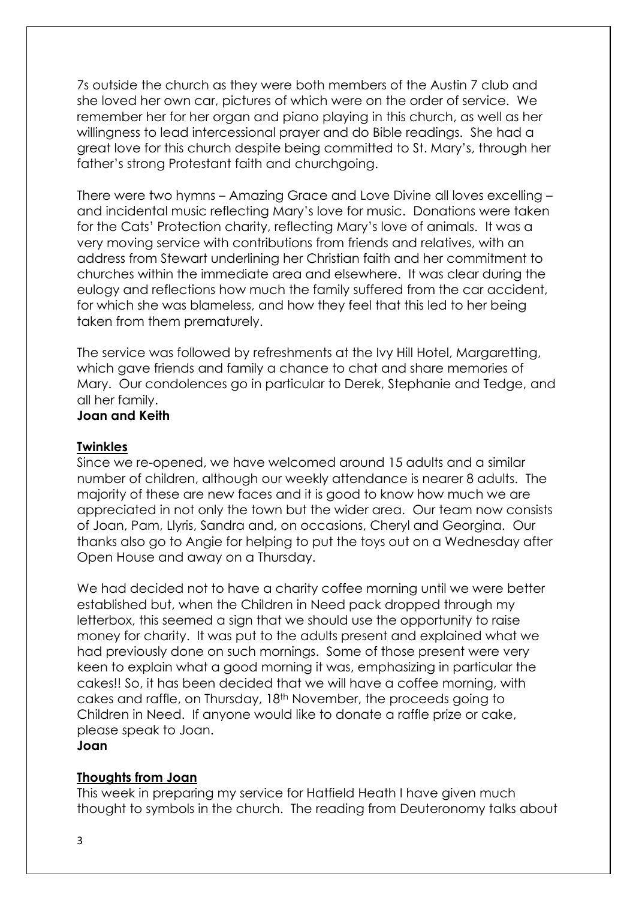7s outside the church as they were both members of the Austin 7 club and she loved her own car, pictures of which were on the order of service. We remember her for her organ and piano playing in this church, as well as her willingness to lead intercessional prayer and do Bible readings. She had a great love for this church despite being committed to St. Mary's, through her father's strong Protestant faith and churchgoing.

There were two hymns – Amazing Grace and Love Divine all loves excelling – and incidental music reflecting Mary's love for music. Donations were taken for the Cats' Protection charity, reflecting Mary's love of animals. It was a very moving service with contributions from friends and relatives, with an address from Stewart underlining her Christian faith and her commitment to churches within the immediate area and elsewhere. It was clear during the eulogy and reflections how much the family suffered from the car accident, for which she was blameless, and how they feel that this led to her being taken from them prematurely.

The service was followed by refreshments at the Ivy Hill Hotel, Margaretting, which gave friends and family a chance to chat and share memories of Mary. Our condolences go in particular to Derek, Stephanie and Tedge, and all her family. **Joan and Keith**

#### **Twinkles**

Since we re-opened, we have welcomed around 15 adults and a similar number of children, although our weekly attendance is nearer 8 adults. The majority of these are new faces and it is good to know how much we are appreciated in not only the town but the wider area. Our team now consists of Joan, Pam, Llyris, Sandra and, on occasions, Cheryl and Georgina. Our thanks also go to Angie for helping to put the toys out on a Wednesday after Open House and away on a Thursday.

We had decided not to have a charity coffee morning until we were better established but, when the Children in Need pack dropped through my letterbox, this seemed a sign that we should use the opportunity to raise money for charity. It was put to the adults present and explained what we had previously done on such mornings. Some of those present were very keen to explain what a good morning it was, emphasizing in particular the cakes!! So, it has been decided that we will have a coffee morning, with cakes and raffle, on Thursday, 18th November, the proceeds going to Children in Need. If anyone would like to donate a raffle prize or cake, please speak to Joan.

### **Joan**

### **Thoughts from Joan**

This week in preparing my service for Hatfield Heath I have given much thought to symbols in the church. The reading from Deuteronomy talks about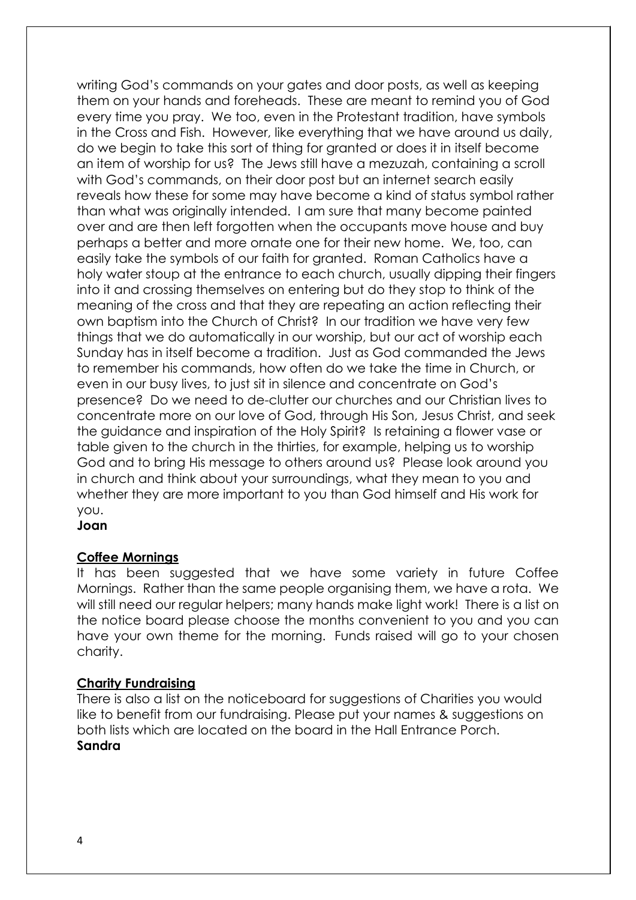writing God's commands on your gates and door posts, as well as keeping them on your hands and foreheads. These are meant to remind you of God every time you pray. We too, even in the Protestant tradition, have symbols in the Cross and Fish. However, like everything that we have around us daily, do we begin to take this sort of thing for granted or does it in itself become an item of worship for us? The Jews still have a mezuzah, containing a scroll with God's commands, on their door post but an internet search easily reveals how these for some may have become a kind of status symbol rather than what was originally intended. I am sure that many become painted over and are then left forgotten when the occupants move house and buy perhaps a better and more ornate one for their new home. We, too, can easily take the symbols of our faith for granted. Roman Catholics have a holy water stoup at the entrance to each church, usually dipping their fingers into it and crossing themselves on entering but do they stop to think of the meaning of the cross and that they are repeating an action reflecting their own baptism into the Church of Christ? In our tradition we have very few things that we do automatically in our worship, but our act of worship each Sunday has in itself become a tradition. Just as God commanded the Jews to remember his commands, how often do we take the time in Church, or even in our busy lives, to just sit in silence and concentrate on God's presence? Do we need to de-clutter our churches and our Christian lives to concentrate more on our love of God, through His Son, Jesus Christ, and seek the guidance and inspiration of the Holy Spirit? Is retaining a flower vase or table given to the church in the thirties, for example, helping us to worship God and to bring His message to others around us? Please look around you in church and think about your surroundings, what they mean to you and whether they are more important to you than God himself and His work for you.

**Joan**

# **Coffee Mornings**

It has been suggested that we have some variety in future Coffee Mornings. Rather than the same people organising them, we have a rota. We will still need our regular helpers; many hands make light work! There is a list on the notice board please choose the months convenient to you and you can have your own theme for the morning. Funds raised will go to your chosen charity.

# **Charity Fundraising**

There is also a list on the noticeboard for suggestions of Charities you would like to benefit from our fundraising. Please put your names & suggestions on both lists which are located on the board in the Hall Entrance Porch. **Sandra**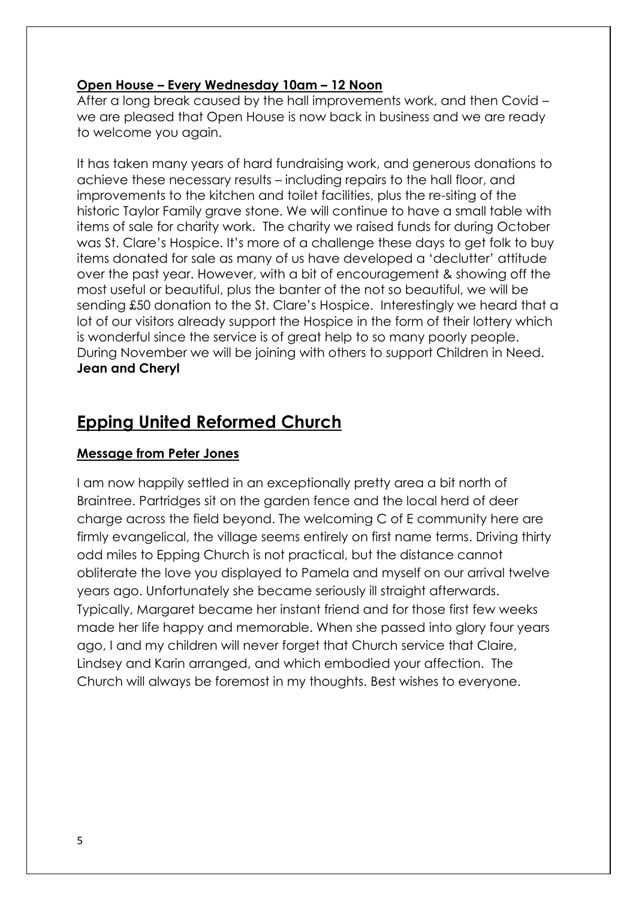### **Open House – Every Wednesday 10am – 12 Noon**

After a long break caused by the hall improvements work, and then Covid – we are pleased that Open House is now back in business and we are ready to welcome you again.

It has taken many years of hard fundraising work, and generous donations to achieve these necessary results – including repairs to the hall floor, and improvements to the kitchen and toilet facilities, plus the re-siting of the historic Taylor Family grave stone. We will continue to have a small table with items of sale for charity work. The charity we raised funds for during October was St. Clare's Hospice. It's more of a challenge these days to get folk to buy items donated for sale as many of us have developed a 'declutter' attitude over the past year. However, with a bit of encouragement & showing off the most useful or beautiful, plus the banter of the not so beautiful, we will be sending £50 donation to the St. Clare's Hospice. Interestingly we heard that a lot of our visitors already support the Hospice in the form of their lottery which is wonderful since the service is of great help to so many poorly people. During November we will be joining with others to support Children in Need. **Jean and Cheryl**

# **Epping United Reformed Church**

# **Message from Peter Jones**

I am now happily settled in an exceptionally pretty area a bit north of Braintree. Partridges sit on the garden fence and the local herd of deer charge across the field beyond. The welcoming C of E community here are firmly evangelical, the village seems entirely on first name terms. Driving thirty odd miles to Epping Church is not practical, but the distance cannot obliterate the love you displayed to Pamela and myself on our arrival twelve years ago. Unfortunately she became seriously ill straight afterwards. Typically, Margaret became her instant friend and for those first few weeks made her life happy and memorable. When she passed into glory four years ago, I and my children will never forget that Church service that Claire, Lindsey and Karin arranged, and which embodied your affection. The Church will always be foremost in my thoughts. Best wishes to everyone.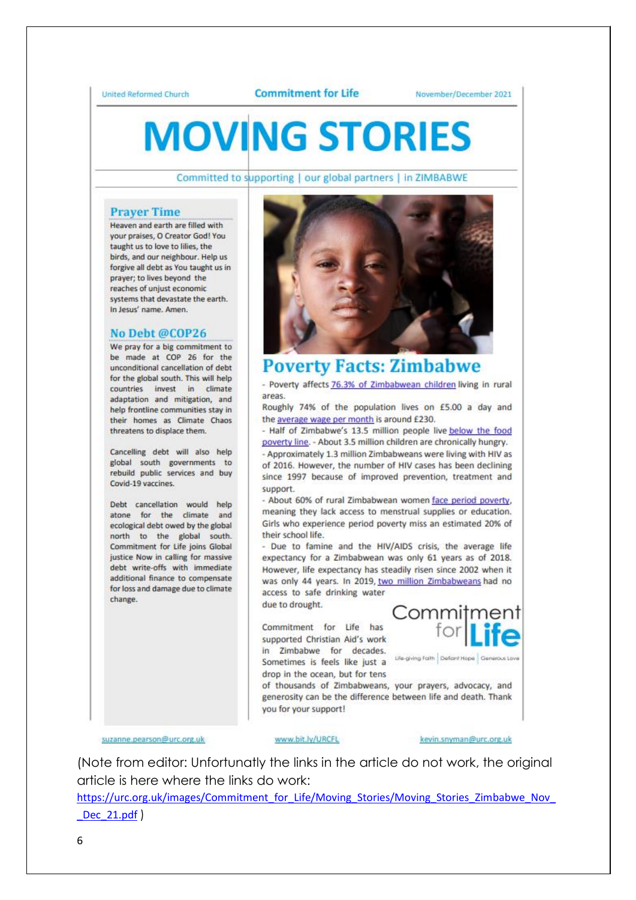#### **Commitment for Life**

November/December 2021

# **MOVING STORIES**

Committed to supporting | our global partners | in ZIMBABWE

#### **Praver Time**

Heaven and earth are filled with your praises, O Creator God! You taught us to love to lilies, the birds, and our neighbour. Help us forgive all debt as You taught us in prayer; to lives beyond the reaches of unjust economic systems that devastate the earth. In Jesus' name. Amen.

#### No Debt @COP26

We pray for a big commitment to be made at COP 26 for the unconditional cancellation of debt for the global south. This will help countries invest in climate adaptation and mitigation, and help frontline communities stay in their homes as Climate Chaos threatens to displace them.

Cancelling debt will also help global south governments to rebuild public services and buy Covid-19 vaccines.

Debt cancellation would help atone for the climate and ecological debt owed by the global north to the global south. Commitment for Life joins Global justice Now in calling for massive debt write-offs with immediate additional finance to compensate for loss and damage due to climate change.



# **Poverty Facts: Zimbabwe**

- Poverty affects 76.3% of Zimbabwean children living in rural areas

Roughly 74% of the population lives on £5.00 a day and the average wage per month is around £230.

- Half of Zimbabwe's 13.5 million people live below the food poverty line. - About 3.5 million children are chronically hungry. - Approximately 1.3 million Zimbabweans were living with HIV as of 2016. However, the number of HIV cases has been declining since 1997 because of improved prevention, treatment and support.

- About 60% of rural Zimbabwean women face period poverty, meaning they lack access to menstrual supplies or education. Girls who experience period poverty miss an estimated 20% of their school life.

- Due to famine and the HIV/AIDS crisis, the average life expectancy for a Zimbabwean was only 61 years as of 2018. However, life expectancy has steadily risen since 2002 when it was only 44 years. In 2019, two million Zimbabweans had no access to safe drinking water

due to drought.

Commitment for Life has supported Christian Aid's work in Zimbabwe for decades. **Sometimes is feels like just a** Life-giving Falth Defant Hope drop in the ocean, but for tens



of thousands of Zimbabweans, your prayers, advocacy, and generosity can be the difference between life and death. Thank you for your support!

suzanne.pearson@urc.org.uk

www.bit.ly/URCFL

#### kevin.snyman@urc.org.uk

(Note from editor: Unfortunatly the links in the article do not work, the original article is here where the links do work:

https://urc.org.uk/images/Commitment\_for\_Life/Moving\_Stories/Moving\_Stories\_Zimbabwe\_Nov Dec 21.pdf )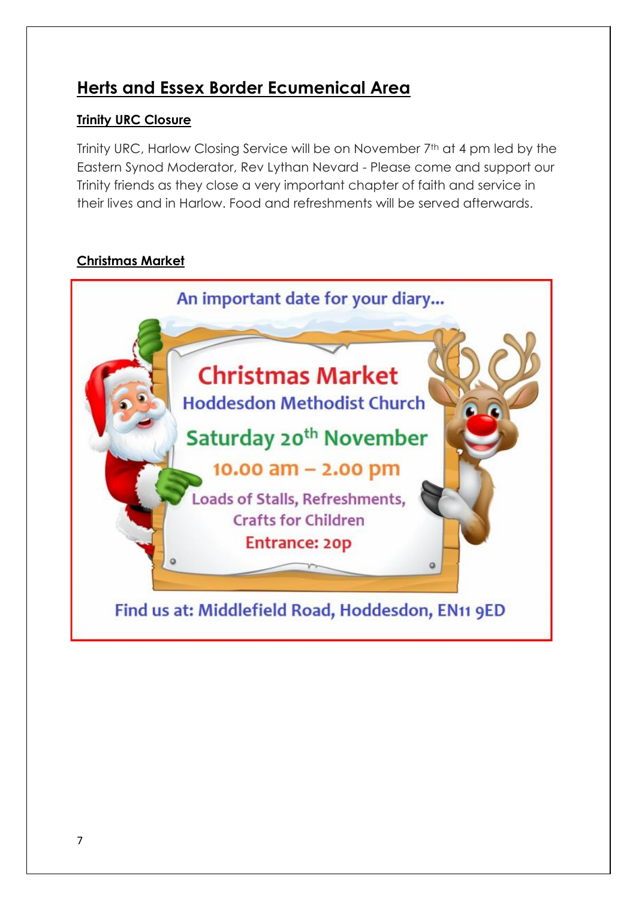# **Herts and Essex Border Ecumenical Area**

# **Trinity URC Closure**

Trinity URC, Harlow Closing Service will be on November 7th at 4 pm led by the Eastern Synod Moderator, Rev Lythan Nevard - Please come and support our Trinity friends as they close a very important chapter of faith and service in their lives and in Harlow. Food and refreshments will be served afterwards.

# **Christmas Market**

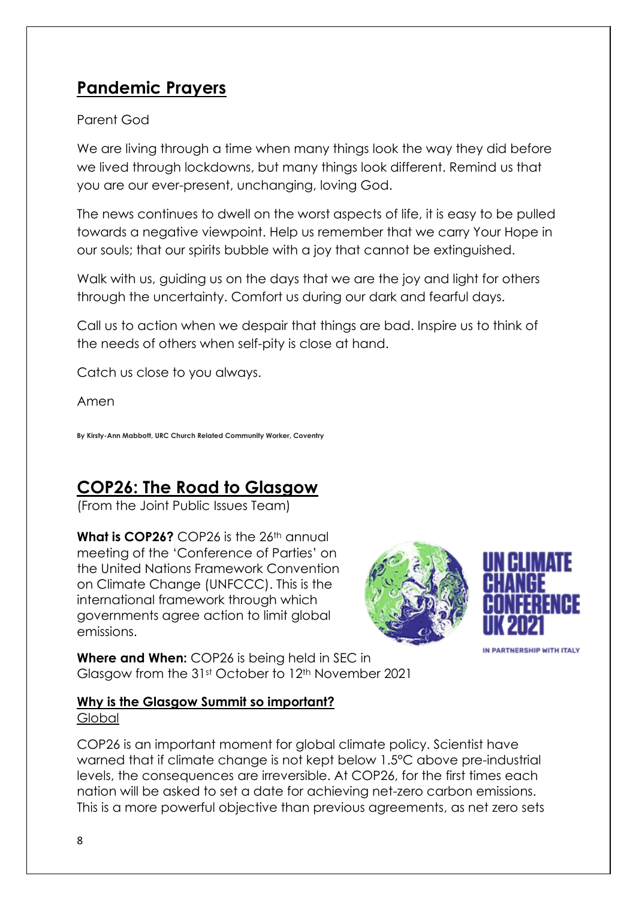# **Pandemic Prayers**

# Parent God

We are living through a time when many things look the way they did before we lived through lockdowns, but many things look different. Remind us that you are our ever-present, unchanging, loving God.

The news continues to dwell on the worst aspects of life, it is easy to be pulled towards a negative viewpoint. Help us remember that we carry Your Hope in our souls; that our spirits bubble with a joy that cannot be extinguished.

Walk with us, guiding us on the days that we are the joy and light for others through the uncertainty. Comfort us during our dark and fearful days.

Call us to action when we despair that things are bad. Inspire us to think of the needs of others when self-pity is close at hand.

Catch us close to you always.

Amen

**By Kirsty-Ann Mabbott, URC Church Related Community Worker, Coventry**

# **COP26: The Road to Glasgow**

(From the Joint Public Issues Team)

**What is COP26?** COP26 is the 26<sup>th</sup> annual meeting of the 'Conference of Parties' on the United Nations Framework Convention on Climate Change (UNFCCC). This is the international framework through which governments agree action to limit global emissions.





IN PARTNERSHIP WITH ITALY

**Where and When:** COP26 is being held in SEC in Glasgow from the 31st October to 12th November 2021

# **Why is the Glasgow Summit so important?**

**Global** 

COP26 is an important moment for global climate policy. Scientist have warned that if climate change is not kept below 1.5°C above pre-industrial levels, the consequences are irreversible. At COP26, for the first times each nation will be asked to set a date for achieving net-zero carbon emissions. This is a more powerful objective than previous agreements, as net zero sets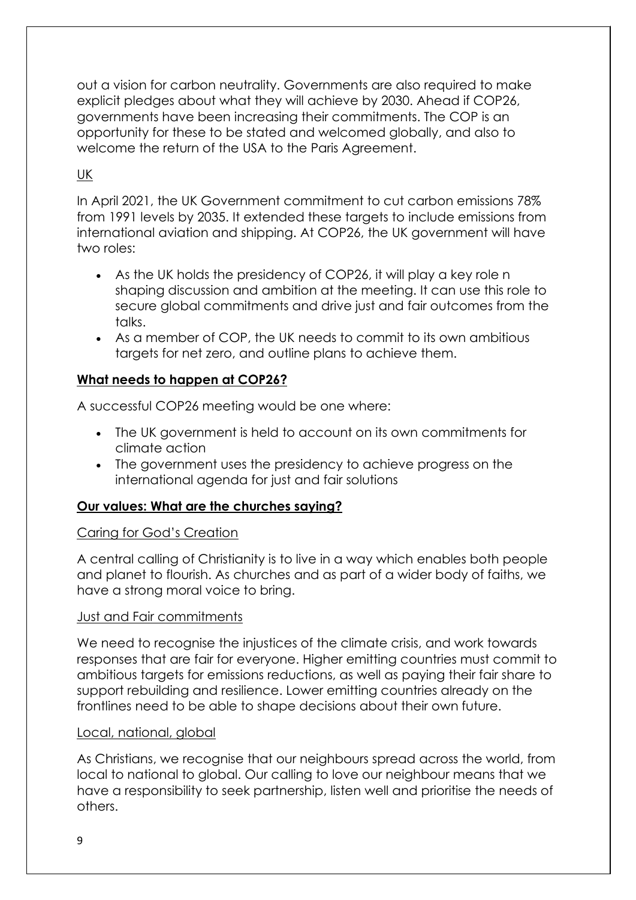out a vision for carbon neutrality. Governments are also required to make explicit pledges about what they will achieve by 2030. Ahead if COP26, governments have been increasing their commitments. The COP is an opportunity for these to be stated and welcomed globally, and also to welcome the return of the USA to the Paris Agreement.

# UK

In April 2021, the UK Government commitment to cut carbon emissions 78% from 1991 levels by 2035. It extended these targets to include emissions from international aviation and shipping. At COP26, the UK government will have two roles:

- As the UK holds the presidency of COP26, it will play a key role n shaping discussion and ambition at the meeting. It can use this role to secure global commitments and drive just and fair outcomes from the talks.
- As a member of COP, the UK needs to commit to its own ambitious targets for net zero, and outline plans to achieve them.

# **What needs to happen at COP26?**

A successful COP26 meeting would be one where:

- The UK government is held to account on its own commitments for climate action
- The government uses the presidency to achieve progress on the international agenda for just and fair solutions

# **Our values: What are the churches saying?**

# Caring for God's Creation

A central calling of Christianity is to live in a way which enables both people and planet to flourish. As churches and as part of a wider body of faiths, we have a strong moral voice to bring.

# Just and Fair commitments

We need to recognise the injustices of the climate crisis, and work towards responses that are fair for everyone. Higher emitting countries must commit to ambitious targets for emissions reductions, as well as paying their fair share to support rebuilding and resilience. Lower emitting countries already on the frontlines need to be able to shape decisions about their own future.

### Local, national, global

As Christians, we recognise that our neighbours spread across the world, from local to national to global. Our calling to love our neighbour means that we have a responsibility to seek partnership, listen well and prioritise the needs of others.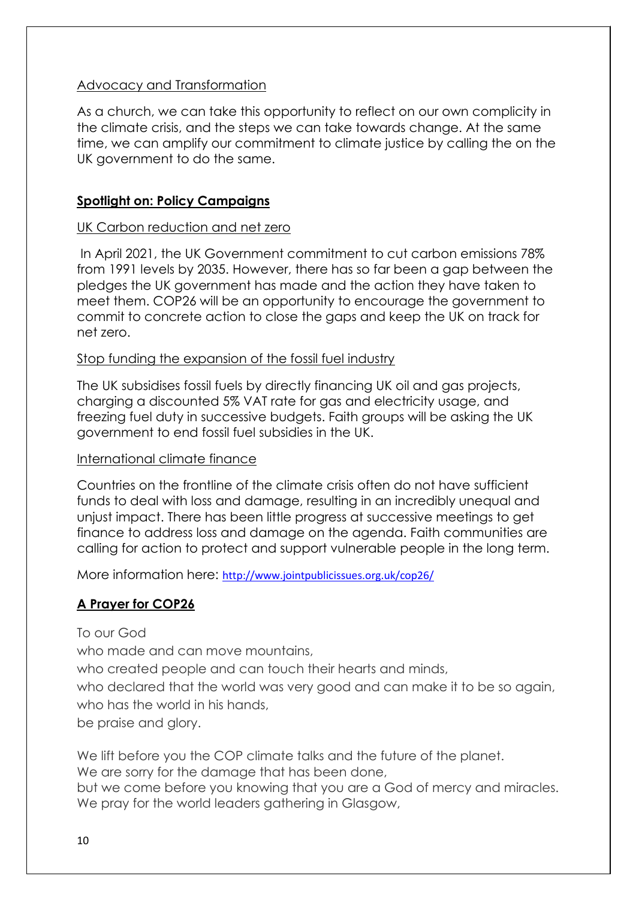# Advocacy and Transformation

As a church, we can take this opportunity to reflect on our own complicity in the climate crisis, and the steps we can take towards change. At the same time, we can amplify our commitment to climate justice by calling the on the UK government to do the same.

### **Spotlight on: Policy Campaigns**

### UK Carbon reduction and net zero

In April 2021, the UK Government commitment to cut carbon emissions 78% from 1991 levels by 2035. However, there has so far been a gap between the pledges the UK government has made and the action they have taken to meet them. COP26 will be an opportunity to encourage the government to commit to concrete action to close the gaps and keep the UK on track for net zero.

### Stop funding the expansion of the fossil fuel industry

The UK subsidises fossil fuels by directly financing UK oil and gas projects, charging a discounted 5% VAT rate for gas and electricity usage, and freezing fuel duty in successive budgets. Faith groups will be asking the UK government to end fossil fuel subsidies in the UK.

### International climate finance

Countries on the frontline of the climate crisis often do not have sufficient funds to deal with loss and damage, resulting in an incredibly unequal and unjust impact. There has been little progress at successive meetings to get finance to address loss and damage on the agenda. Faith communities are calling for action to protect and support vulnerable people in the long term.

More information here: <http://www.jointpublicissues.org.uk/cop26/>

# **A Prayer for COP26**

To our God

who made and can move mountains.

who created people and can touch their hearts and minds,

who declared that the world was very good and can make it to be so again, who has the world in his hands,

be praise and glory.

We lift before you the COP climate talks and the future of the planet. We are sorry for the damage that has been done, but we come before you knowing that you are a God of mercy and miracles. We pray for the world leaders gathering in Glasgow,